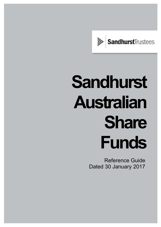

# **Sandhurst Australian Share Funds**

Reference Guide Dated 30 January 2017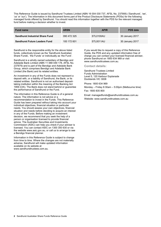This Reference Guide is issued by Sandhurst Trustees Limited (ABN 16 004 030 737, AFSL No. 237906) ('Sandhurst', 'we', 'us' or 'our'). The information in this document forms part of the Product Disclosure Statements (PDSs) for the following managed funds offered by Sandhurst. You should read this information together with the PDS for the relevant managed fund before making a decision whether to invest.

| <b>Fund name</b>                       | <b>ARSN</b> | <b>APIR</b> | <b>PDS</b> date |
|----------------------------------------|-------------|-------------|-----------------|
| <b>Sandhurst Industrial Share Fund</b> | 090 472 325 | STL0100AU   | 30 January 2017 |
| <b>Sandhurst Future Leaders Fund</b>   | 100 172 601 | STL0011AU   | 30 January 2017 |

Sandhurst is the responsible entity for the above listed funds, collectively known as the 'Sandhurst Australian Share Funds', 'the Funds' or individually as 'the Fund'.

Sandhurst is a wholly owned subsidiary of Bendigo and Adelaide Bank Limited (ABN 11 068 049 178, AFSL No. 237879) and is part of the Bendigo and Adelaide Bank Group, which comprises Bendigo and Adelaide Bank Limited (the Bank) and its related entities.

An investment in any of the Funds does not represent a deposit with, or a liability of Sandhurst, the Bank, or its related entities. Sandhurst is not an authorised deposittaking institution within the meaning of the Banking Act 1959 (Cth). The Bank does not stand behind or guarantee the performance of Sandhurst or the Fund.

The information in this Reference Guide is of a general nature. The information is not advice or a recommendation to invest in the Funds. This Reference Guide has been prepared without taking into account your individual objectives, financial situation or particular needs. You should assess your own objectives, financial situation and needs before deciding to acquire an interest in any of the Funds. Before making an investment decision, we recommend that you seek the help of a person or organisation licensed to provide financial advice. The Australian Securities and Investments Commission (ASIC) can help you check if your adviser is licensed. You can contact ASIC on 1300 300 630 or via the website www.asic.gov.au, or call us to arrange to see a Bendigo financial planner.

Information in this Reference Guide is subject to change from time to time. Where the changes are not materially adverse, Sandhurst will make updated information available on its website at www.sandhursttrustees.com.au.

If you would like to request a copy of this Reference Guide, the PDS and any updated information free of charge you can contact your licensed financial adviser, phone Sandhurst on 1800 634 969 or visit www.sandhursttrustees.com.au.

**Contact details:** 

Sandhurst Trustees Limited Funds Administration Level 5, 120 Harbour Esplanade Docklands VIC 3008

Phone: 1800 634 969

Monday – Friday 8:30am – 5:00pm (Melbourne time) Fax: 1800 835 800

Email: managedfunds@sandhursttrustees.com.au Website: www.sandhursttrustees.com.au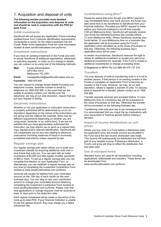# 1. Acquisition and disposal of units

#### **The following section provides more detailed information on the acquisition and disposal of units and should be read in conjunction with the PDS for each Fund.**

#### **Initial investments**

Sandhurst will not accept any Application Forms including certified Know Your Customer identification requirements, via facsimile or email, for the initial investment into the Funds. Refer to the Application Form for more information located at www.sandhursttrustees.com.au/forms.

#### **Investment instructions**

If you have an existing investment in the Funds and wish to advise Sandhurst of additional applications, withdrawal or switching requests, or notify us of a change in details, you can contact us by using one of the following methods:

**Mail:** Funds Administration GPO Box 4314 Melbourne VIC 3001 **Email:** managedfunds@sandhursttrustees.com.au

**Facsimile:** 1800 835 800

You can request to change certain details including your telephone number, facsimile number or email by telephone on 1800 634 969. In the event that we are unable to properly confirm your identity over the telephone, we may at our sole discretion, require that you put your request in writing.

## **Electronic instructions**

Whether or not your application or instruction (instruction) is properly authorised will be determined by us (in our discretion) depending on the nature of the instructions you are giving and the method (for example, there may be different requirements depending on whether you are using email, facsimile, or an online form). If we are not satisfied that you have appropriately authorised the instruction, we may require you to send us a signed hard copy request and/or relevant identification. Sandhurst will not compensate you for any loss relating to electronic instructions (including instances of fraud or incorrectly completed instructions) unless required by law.

# **Regular savings plan**

Our regular savings plan option allows you to build your investment steadily by acquiring additional units over a time frame that suits you. You can start with an initial investment of \$2,000 and add regular monthly payments of \$50 or more. To set up a regular savings plan you can complete this election on your Application Form, or alternatively, you can establish a regular savings plan at any time by completing the Investment Contribution Form located at www.sandhursttrustees.com.au/forms.

Amounts will usually be debited from your nominated account on the 15th day of each month (or the next business day). You can stop or vary your contribution amount or change your nominated account details by completing the Investment Contribution Form located at www.sandhursttrustees.com.au/forms. Please note that new applications or change requests must be received at least 14 days prior to the deduction date.

Each regular investment will be made on the terms of the most up-to-date PDS. If your financial institution is unable to pay the agreed amount, they may charge you a failed transaction fee.

# **Contributions using BPAY®**

Please be aware that even though your BPAY payment may immediately leave your bank account, the funds may take some time to be transferred to Sandhurst from your financial institution. Provided your BPAY request is made before your financial institution's cut-off time (usually 5:00 pm Melbourne time), Sandhurst will typically receive your funds the following business day (usually before 12 noon Melbourne time). Where Sandhurst receives your funds before 12 noon Melbourne time on a business day, the application will be processed using the Fund's application price calculated as at the close of business on that day. Otherwise, the following business day's application price will be used.

In certain circumstances, Sandhurst reserves the right to refuse an additional investment or accept only part of an additional investment (for example, if the Fund is closed to additional investments) or change processing times.

® Registered to BPAY Pty Ltd ABN 69 079 137 518

## **Transfers**

You may dispose of units by transferring units in a Fund to another person, if that person is an existing investor in the Funds or completes an Application Form to become an investor in the Funds. However, we may, at our sole discretion, refuse to register a transfer of units. To discuss what is required for a transfer, please contact us on 1800 634 969.

Transfer requests received and accepted before 12 noon Melbourne time on a business day will be processed at the close of business on that day. Otherwise the transfer will be processed on the following business day.

Transferring units may give rise to tax consequences and it is recommended that you check the tax implications with your accountant or financial adviser before making a decision.

## **Impact of income distributions on unit prices**

Where you buy units in a Fund before a distribution date, the application price will include income accumulated in the Fund since the last income distribution was made. This income will subsequently be distributed and will form part of your taxable income. Following a distribution, a Fund's unit price will drop to reflect the distribution that has been paid.

## **Use of standard forms**

Standard forms are used for all transactions including applications, withdrawals and transfers. These forms can be downloaded from www.sandhursttrustees.com.au/forms.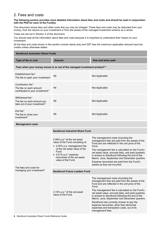# 2. Fees and costs

#### **The following section provides more detailed information about fees and costs and should be read in conjunction with the PDS for each of the Fund(s).**

This document shows fees and other costs that you may be charged. These fees and costs may be deducted from your money, from the returns on your investment or from the assets of the managed investment scheme as a whole.

Taxes are set out in Section 3 of this document.

You should read all the information about fees and costs because it is important to understand their impact on your investment.

All the fees and costs shown in this section include stamp duty and GST less the maximum applicable reduced input tax credits unless otherwise stated.

#### **Sandhurst Australian Share Funds Type of fee or cost** Amount Amount How and when paid **Fees when your money moves in or out of the managed investment product1,2** *Establishment fee1* The fee to open your investment Nil Not Applicable *Contribution fee1* The fee on each amount contributed to your investment<sup>2</sup> Nil Not Applicable *Withdrawal fee1* The fee on each amount you take out of your investment<sup>2</sup> Nil Not Applicable *Exit fee1* The fee to close your investment2 Nil Not Applicable **Management costs**  The fees and costs for managing your investment<sup>2</sup> **Sandhurst Industrial Share Fund**  2.06% p.a.3 of the net asset value of the Fund consisting of: 2.05% p.a. management fee of the net asset value of the Fund.  $\bullet$  0.01% p.a.<sup>4</sup> expense recoveries of the net asset value of the Fund. The management costs (including the management fee) are paid from the assets of the Fund and are reflected in the unit price of the Fund. The management fee is calculated on the Fund's net asset value, accrued daily, and paid quarterly in arrears to Sandhurst following the end of the March, June, September and December quarters. Expense recoveries are paid from the Fund's assets as they are incurred. **Sandhurst Future Leaders Fund**  2.10%  $p.a.^3$  of the net asset value of the Fund. The management costs (including the management fee) are paid from the assets of the Fund and are reflected in the unit price of the Fund. The management fee is calculated on the Fund's net asset value, accrued daily, and paid quarterly in arrears to Sandhurst following the end of the March, June, September and December quarters. Sandhurst has currently chosen to pay the expense recoveries, other than abnormal expenses and transaction costs, out of its management fees.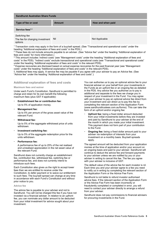| <b>Sandhurst Australian Share Funds</b>                                                                                         |               |                   |  |  |
|---------------------------------------------------------------------------------------------------------------------------------|---------------|-------------------|--|--|
| Type of fee or cost                                                                                                             | <b>Amount</b> | How and when paid |  |  |
| Service fees <sup>1,5</sup>                                                                                                     |               |                   |  |  |
| Switching fee<br>The fee for changing investment<br>options                                                                     | <b>Nil</b>    | Not Applicable    |  |  |
| <sup>1</sup> Transaction costs may apply in the form of a buy/sell spread. (See "Transactional and operational costs" under the |               |                   |  |  |

heading "Additional explanation of fees and costs" in the PDS.)<br><sup>2</sup> These fees do not include amounts payable to an adviser. (See "Advice fee" under the heading "Additional explanation of fees and costs" for more information.)

<sup>3</sup> This amount includes 'indirect costs' (see "Management costs" under the heading "Additional explanation of fees and costs" in the PDS). "Indirect costs" exclude transactional and operational costs (see "Transactional and operational costs" under the heading "Additional explanation of fees and costs" in the relevant PDS). 4 Expense recoveries are disclosed based on actual expense recoveries for the past financial year (see "Management

costs" under the heading "Additional explanation of fees and costs" in the relevant PDS).

5. Additional fees may apply. A service fee may be payable if you agree with your adviser to pay an Advice fee. (See "Advice fee" under the heading "Additional explanation of fees and costs".)

## **Additional explanation of fees and costs**

#### **Maximum fees and waiver**

Under each Fund's Constitution, Sandhurst is permitted to charge and retain for its own benefit the following maximum fees (plus GST if applicable):

#### **Establishment fee or contribution fee:**

Up to 5% of application money.

**Management fee:**

Up to 5% per annum of the gross asset value of the relevant Fund.

**Withdrawal fee:**

Up to 5% of the aggregate withdrawal price of units withdrawn.

#### **Investment switching fee:**

Up to 5% of the aggregate redemption price for the units withdrawn.

**Performance fee:**

A performance fee of up to 25% of the net realised and unrealised appreciation in the net asset value of the relevant Fund.

Sandhurst does not currently charge an establishment fee, contribution fee, withdrawal fee, switching fee or performance fee, and does not currently intend to introduce such fees.

Each Constitution also gives us the right to accept lower fees than we are entitled to receive under the Constitution, to defer payment or to waive our entitlement to such fees. The buy/sell spread can change at any time in accordance with each Fund's Constitution and without prior notice to you.

#### **Advice fee**

The advice fee is payable to your adviser and not to Sandhurst. You will not be charged this fee if you have not invested via a financial adviser. In relation to an upfront fee, you can nominate any dollar amount to be deducted from your initial investment for advice sought about your investment.

You can authorise us to pay an optional advice fee to your financial adviser on your behalf from your investments in the Funds as an upfront fee or an ongoing fee as detailed in the PDS. Any advice fee you authorise us to pay is additional and separate to the fees we charge you in respect of your investment in the Fund. You may agree with your adviser to pay an optional advice fee direct from your investment and can direct us to pay this fee by completing the relevant section of the Application Form (www.sandhursttrustees.com.au/forms). This can take the form of an upfront and/or ongoing fee:

- **Upfront fee:** being a fixed dollar amount deducted from your initial investments before they are invested and paid by Sandhurst to your adviser at the end of the month in which you made your initial investment. This payment does not form part of your contribution to the Fund.
- **Ongoing fee:** being a fixed dollar amount paid to your adviser via redemption of interests from your investment on a monthly basis. Buy/sell spreads apply.

The agreed amount will be deducted from your application monies at the time of application and/or your account on an ongoing basis and paid to your adviser. Sandhurst will continue to deduct the advice fee and forward payments to your adviser unless we are notified by you or your adviser in writing to cancel this fee. The fee you agree with your adviser is inclusive of GST.

The default value of the advice fee for each investor is nil. Each time you and your adviser agree to a fee you need to notify us in writing by completing the relevant section of the Application Form or the Advice Fee Form.

Sandhurst is not liable to refund investor authorised advice fees. If the relevant section of the Application Form or the Advice Fee Form has been incorrectly or fraudulently completed or completed in error, you will need to contact your adviser directly to arrange a refund from your adviser.

Sandhurst does not pay commissions to financial advisers for procuring investments in the Fund.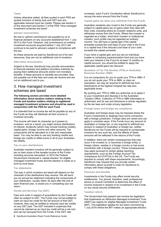#### **Taxes**

Unless otherwise stated, all fees quoted in each PDS are quoted inclusive of stamp duty and GST less any applicable reduced input tax credits. Please see section 3 of this document and section 7 of the PDS "How managed investment schemes are taxed".

#### **Adviser remuneration**

No trail or upfront commissions are payable by us to financial advisers on any accounts established from 1 July 2013 in the Fund. However, trail commissions on existing investment accounts acquired before 1 July 2013 will continue to be paid to advisers subject to compliance with the law.

As these amounts are paid by Sandhurst out of its own resources, they are not an additional cost to investors.

#### **Alternative remuneration**

Subject to the law, Sandhurst may provide remuneration to financial advisers and platform providers indirectly by paying them additional amounts and/or non-monetary benefits. If these amounts or benefits are provided, they are payable out of the fees and costs we receive and are not an additional cost to you.

# 3. How managed investment schemes are taxed

#### **The following section provides more detailed information about taxation matters relating to the Funds and taxation matters relating to registered managed investment schemes and should be read in conjunction with the PDS for each Fund.**

It is intended that no income tax will be payable by any of the Funds as they will distribute all their income to investors annually.

The income will retain its character as it passes to investors, and as a result, you might receive distributions of interest, dividends (which may include franking credits), capital gains, foreign income and other amounts. Tax components will be allocated on a fair and reasonable basis. You may be able to use any franking credits and foreign tax credits to offset some or all of your Australian tax liability.

#### **Tax on your distributions**

Australian resident investors will be generally subject to tax on their share of the taxable income of the Funds including amounts reinvested. In 2010 the Federal Government introduced a 'capital election' for eligible managed investment trusts and the election is made on a fund by fund basis.

#### **Tax statements**

The way in which investors are taxed will depend on the character of the distributions they receive. We will send you an annual tax statement indicating the components of your distribution, usually within 30 days after the end of each financial year, to assist you in completing your tax return.

#### **Goods and Services Tax (GST)**

Fees and costs in respect of acquisitions by the Funds will often be subject to GST. The Funds may not be entitled to claim an input tax credit for the full amount of that GST, however, they may be entitled to reduced input tax credits on any GST paid. The GST included in expenses that cannot be claimed as an input tax credit will be a net cost and can be recouped from the Funds. If the GST rate

increases, each Fund's Constitution allows Sandhurst to recoup the extra amount from the Funds.

**Capital gains tax when you withdraw from the Funds** 

Australian residents who invest in the Funds are generally subject to capital gains tax on gains when they deal with their units, including where an investor redeems units, and withdraws money from the Funds. Where the investor is regarded as a trader, short-term investor or institutional investor, such profits may be regarded as ordinary income. You will have a capital gain if the capital proceeds exceed the cost base of your units in the Fund, or a capital loss if the reduced cost base of your units exceeds the capital proceeds.

If you have a capital gain and you are an individual, trustee or complying superannuation fund and you have held your interest in the Fund for at least 12 months on capital account, you should be entitled to apply the applicable capital gains tax discount.

#### **Quotation of Tax File Number (TFN) or Australian Business Number (ABN)**

It is not compulsory for you to quote your TFN or ABN. If you do not quote your TFN or ABN, or claim an exemption, we may be required to withhold tax from distributions at the highest marginal tax rate plus applicable levies.

By quoting your TFN or ABN you authorise us to apply it to your investment and disclose it to the Australian Taxation Office. Collection of TFN or ABN information is authorised, and its use and disclosure is strictly regulated, by the tax laws and under privacy legislation.

#### **Foreign taxes and foreign tax compliance**

Australian and foreign taxes may be imposed where the Fund's investments or dealings have some connection with a foreign jurisdiction. Foreign laws are varied and can apply in uncertain ways. If the Funds incur any amount of Australian or foreign tax, or are required to withhold any amount in respect of Australian or foreign tax, neither Sandhurst nor the Funds will be required to compensate investors for any such tax, and the effects of these amounts will be reflected in the returns of the Funds.

In addition, there are certain consequences that may occur if an investor is, or becomes a foreign entity, a foreign citizen, resides in a foreign country or has some connection with a foreign country. These consequences may apply pursuant to certain global reporting requirements, such as the Foreign Account Tax Compliance Act (FATCA) in the US. The Funds are required to comply with these requirements. Accordingly, Sandhurst may request that you provide certain information about yourself in order for Sandhurst to comply with these obligations.

#### **Pensions and benefits**

Investments in the Funds may affect social security entitlements. You should, therefore, seek professional advice or consult Centrelink to determine the effect of income received in respect of an investment in the Funds on any social security entitlement.

#### **Taxation reform**

The Government has passed new income tax legislation that implements an Attribution Managed Investment Trust (AMIT) tax regime for eligible Managed Investment Trusts (MIT). The legislation applies for tax years commencing 1 July 2016 where the MIT makes an appropriate election.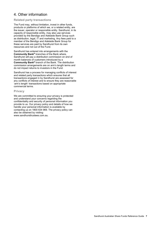# 4. Other information

# **Related party transactions**

The Fund may, without limitation, invest in other funds, products or platforms of which we, or a related entity, are the issuer, operator or responsible entity. Sandhurst, in its capacity of responsible entity, may also use services provided by the Bendigo and Adelaide Bank Group such as distribution, legal, IT and marketing. Any fees paid to a member of the Bendigo and Adelaide Bank Group for these services are paid by Sandhurst from its own resources and not out of the Fund.

Sandhurst has entered into arrangements with the **Community Bank®** branches of the Bank where, Sandhurst will pay a distribution commission on end of month balances of customers introduced by a **Community Bank®** branch of the Bank. The distribution commission arrangements are on arm's length terms and do not impact returns to investors in the Fund.

Sandhurst has a process for managing conflicts of interest and related party transactions which ensures that all transactions engaged in by Sandhurst are assessed for any conflicts of interest and to ensure they are reasonable 'arm's length' transactions based on appropriate commercial terms.

# **Privacy**

We are committed to ensuring your privacy is protected and understand your concerns regarding the confidentiality and security of personal information you provide to us. Our privacy policy and details of how we handle your personal information is available by contacting us on 1800 634 969. The privacy policy can also be obtained by visiting: www.sandhursttrustees.com.au.